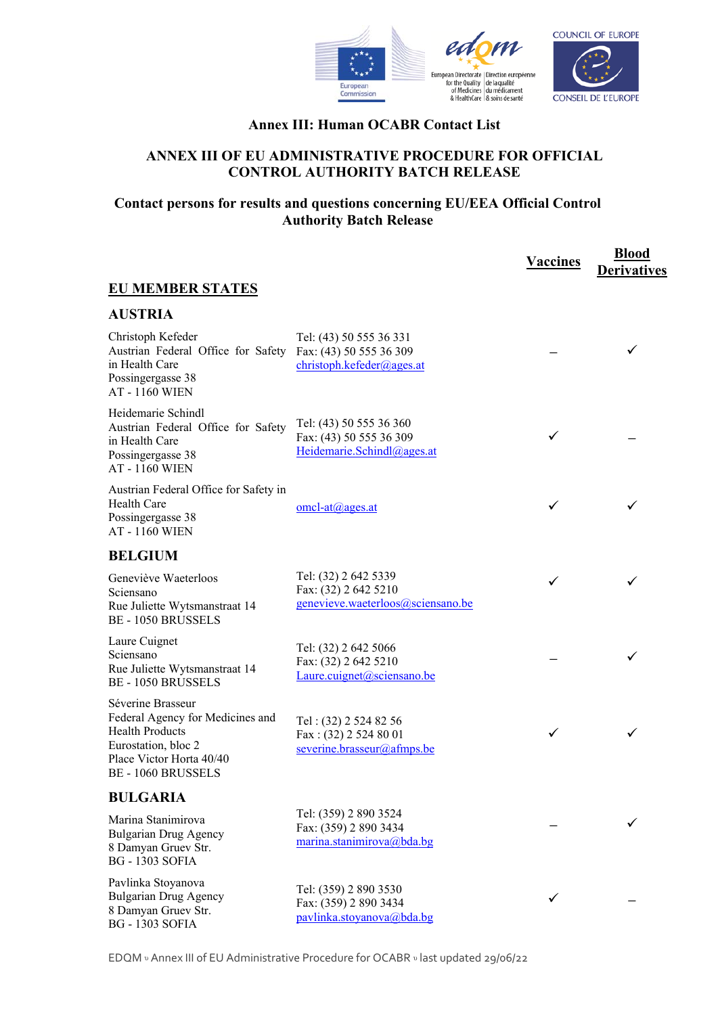



#### **Annex III: Human OCABR Contact List**

#### **ANNEX III OF EU ADMINISTRATIVE PROCEDURE FOR OFFICIAL CONTROL AUTHORITY BATCH RELEASE**

### **Contact persons for results and questions concerning EU/EEA Official Control Authority Batch Release**

|                                                                                                                                                          |                                                                                   | <b>Vaccines</b> | <b>Blood</b><br><b>Derivatives</b> |
|----------------------------------------------------------------------------------------------------------------------------------------------------------|-----------------------------------------------------------------------------------|-----------------|------------------------------------|
| <b>EU MEMBER STATES</b>                                                                                                                                  |                                                                                   |                 |                                    |
| <b>AUSTRIA</b>                                                                                                                                           |                                                                                   |                 |                                    |
| Christoph Kefeder<br>Austrian Federal Office for Safety<br>in Health Care<br>Possingergasse 38<br><b>AT-1160 WIEN</b>                                    | Tel: (43) 50 555 36 331<br>Fax: (43) 50 555 36 309<br>christoph.kefeder@ages.at   |                 |                                    |
| Heidemarie Schindl<br>Austrian Federal Office for Safety<br>in Health Care<br>Possingergasse 38<br><b>AT-1160 WIEN</b>                                   | Tel: (43) 50 555 36 360<br>Fax: (43) 50 555 36 309<br>Heidemarie.Schindl@ages.at  |                 |                                    |
| Austrian Federal Office for Safety in<br>Health Care<br>Possingergasse 38<br><b>AT-1160 WIEN</b>                                                         | $omcl-at@ages.at$                                                                 | ✓               |                                    |
| <b>BELGIUM</b>                                                                                                                                           |                                                                                   |                 |                                    |
| Geneviève Waeterloos<br>Sciensano<br>Rue Juliette Wytsmanstraat 14<br><b>BE-1050 BRUSSELS</b>                                                            | Tel: (32) 2 642 5339<br>Fax: (32) 2 642 5210<br>genevieve.waeterloos@sciensano.be | ✓               |                                    |
| Laure Cuignet<br>Sciensano<br>Rue Juliette Wytsmanstraat 14<br><b>BE-1050 BRUSSELS</b>                                                                   | Tel: (32) 2 642 5066<br>Fax: (32) 2 642 5210<br>Laure.cuignet@sciensano.be        |                 |                                    |
| Séverine Brasseur<br>Federal Agency for Medicines and<br><b>Health Products</b><br>Eurostation, bloc 2<br>Place Victor Horta 40/40<br>BE - 1060 BRUSSELS | Tel: (32) 2 524 82 56<br>Fax: (32) 2 524 80 01<br>severine.brasseur@afmps.be      | ✓               |                                    |
| <b>BULGARIA</b>                                                                                                                                          |                                                                                   |                 |                                    |
| Marina Stanimirova<br><b>Bulgarian Drug Agency</b><br>8 Damyan Gruev Str.<br><b>BG</b> - 1303 SOFIA                                                      | Tel: (359) 2 890 3524<br>Fax: (359) 2 890 3434<br>marina.stanimirova@bda.bg       |                 |                                    |
| Pavlinka Stoyanova<br><b>Bulgarian Drug Agency</b><br>8 Damyan Gruev Str.<br><b>BG - 1303 SOFIA</b>                                                      | Tel: (359) 2 890 3530<br>Fax: (359) 2 890 3434<br>pavlinka.stoyanova@bda.bg       | ✓               |                                    |

EDQM υ Annex III of EU Administrative Procedure for OCABR υ last updated 29/06/22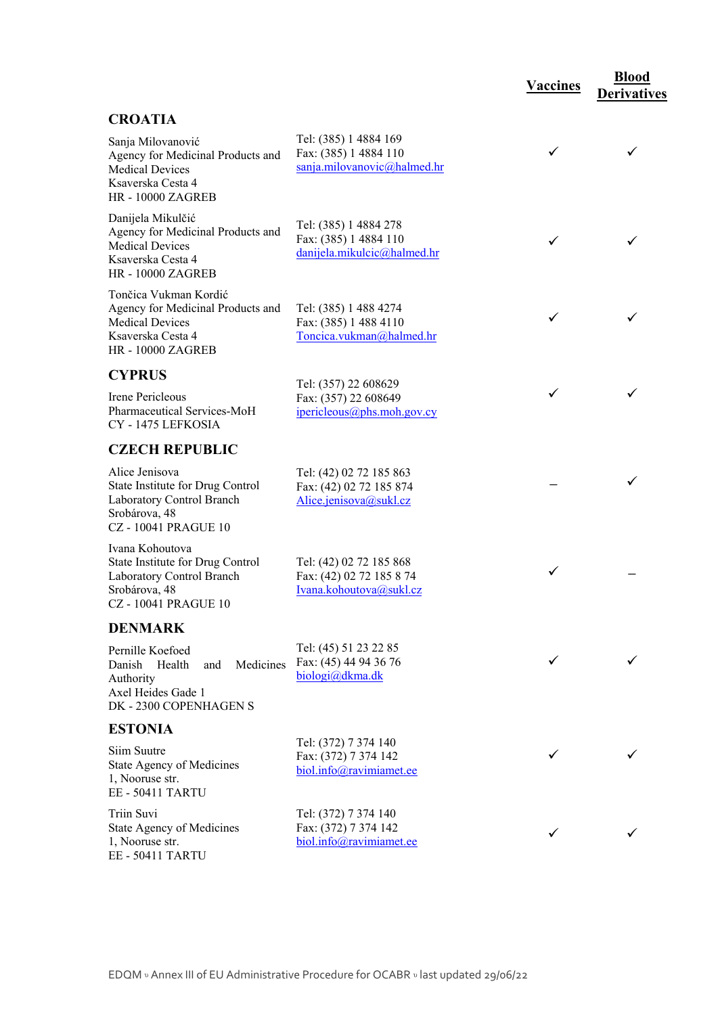#### **CROATIA**

| UNUALIA                                                                                                                        |                                                                                |              |              |
|--------------------------------------------------------------------------------------------------------------------------------|--------------------------------------------------------------------------------|--------------|--------------|
| Sanja Milovanović<br>Agency for Medicinal Products and<br><b>Medical Devices</b><br>Ksaverska Cesta 4<br>HR - 10000 ZAGREB     | Tel: (385) 1 4884 169<br>Fax: (385) 1 4884 110<br>sanja.milovanovic@halmed.hr  |              |              |
| Danijela Mikulčić<br>Agency for Medicinal Products and<br><b>Medical Devices</b><br>Ksaverska Cesta 4<br>HR - 10000 ZAGREB     | Tel: (385) 1 4884 278<br>Fax: (385) 1 4884 110<br>danijela.mikulcic@halmed.hr  | ✓            |              |
| Tončica Vukman Kordić<br>Agency for Medicinal Products and<br><b>Medical Devices</b><br>Ksaverska Cesta 4<br>HR - 10000 ZAGREB | Tel: (385) 1 488 4274<br>Fax: (385) 1 488 4110<br>Toncica.vukman@halmed.hr     | ✓            |              |
| <b>CYPRUS</b>                                                                                                                  |                                                                                |              |              |
| Irene Pericleous<br>Pharmaceutical Services-MoH<br>CY - 1475 LEFKOSIA                                                          | Tel: (357) 22 608629<br>Fax: (357) 22 608649<br>ipericleous@phs.moh.gov.cy     | ✓            |              |
| <b>CZECH REPUBLIC</b>                                                                                                          |                                                                                |              |              |
| Alice Jenisova<br>State Institute for Drug Control<br>Laboratory Control Branch<br>Srobárova, 48<br><b>CZ-10041 PRAGUE 10</b>  | Tel: (42) 02 72 185 863<br>Fax: (42) 02 72 185 874<br>Alice.jenisova@sukl.cz   |              |              |
| Ivana Kohoutova<br>State Institute for Drug Control<br>Laboratory Control Branch<br>Srobárova, 48<br><b>CZ-10041 PRAGUE 10</b> | Tel: (42) 02 72 185 868<br>Fax: (42) 02 72 185 8 74<br>Ivana.kohoutova@sukl.cz | ✓            |              |
| <b>DENMARK</b>                                                                                                                 |                                                                                |              |              |
| Pernille Koefoed<br>Medicines<br>Danish<br>Health<br>and<br>Authority<br>Axel Heides Gade 1<br>DK - 2300 COPENHAGEN S          | Tel: (45) 51 23 22 85<br>Fax: (45) 44 94 36 76<br>biologi@dkma.dk              | $\checkmark$ | $\checkmark$ |
| <b>ESTONIA</b>                                                                                                                 |                                                                                |              |              |
| Siim Suutre<br>State Agency of Medicines<br>1, Nooruse str.<br><b>EE - 50411 TARTU</b>                                         | Tel: (372) 7 374 140<br>Fax: (372) 7 374 142<br>biol.info@ravimiamet.ee        | ✓            |              |
| Triin Suvi<br>State Agency of Medicines<br>1, Nooruse str.<br>EE - 50411 TARTU                                                 | Tel: (372) 7 374 140<br>Fax: (372) 7 374 142<br>biol.info@ravimiamet.ee        | ✓            |              |

**Vaccines Blood** 

**Derivatives**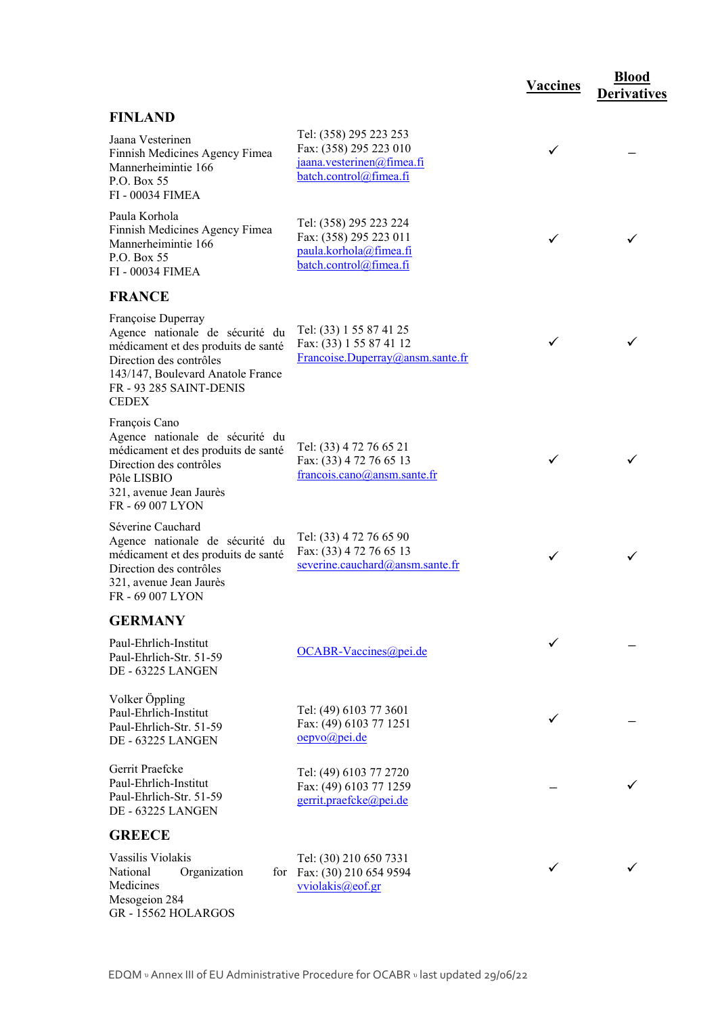## **FINLAND**

| L'UNLAIND                                                                                                                                                                                               |                                                                                                         |   |   |
|---------------------------------------------------------------------------------------------------------------------------------------------------------------------------------------------------------|---------------------------------------------------------------------------------------------------------|---|---|
| Jaana Vesterinen<br>Finnish Medicines Agency Fimea<br>Mannerheimintie 166<br>P.O. Box 55<br>FI - 00034 FIMEA                                                                                            | Tel: (358) 295 223 253<br>Fax: (358) 295 223 010<br>jaana.vesterinen@fimea.fi<br>batch.control@fimea.fi | ✓ |   |
| Paula Korhola<br>Finnish Medicines Agency Fimea<br>Mannerheimintie 166<br>P.O. Box 55<br>FI - 00034 FIMEA                                                                                               | Tel: (358) 295 223 224<br>Fax: (358) 295 223 011<br>paula.korhola@fimea.fi<br>batch.control@fimea.fi    | ✓ | ✓ |
| <b>FRANCE</b>                                                                                                                                                                                           |                                                                                                         |   |   |
| Françoise Duperray<br>Agence nationale de sécurité du<br>médicament et des produits de santé<br>Direction des contrôles<br>143/147, Boulevard Anatole France<br>FR - 93 285 SAINT-DENIS<br><b>CEDEX</b> | Tel: (33) 1 55 87 41 25<br>Fax: (33) 1 55 87 41 12<br>Francoise.Duperray@ansm.sante.fr                  | ✓ |   |
| François Cano<br>Agence nationale de sécurité du<br>médicament et des produits de santé<br>Direction des contrôles<br>Pôle LISBIO<br>321, avenue Jean Jaurès<br>FR-69 007 LYON                          | Tel: (33) 4 72 76 65 21<br>Fax: (33) 4 72 76 65 13<br>francois.cano@ansm.sante.fr                       | ✓ |   |
| Séverine Cauchard<br>Agence nationale de sécurité du<br>médicament et des produits de santé<br>Direction des contrôles<br>321, avenue Jean Jaurès<br>FR - 69 007 LYON                                   | Tel: (33) 4 72 76 65 90<br>Fax: (33) 4 72 76 65 13<br>severine.cauchard@ansm.sante.fr                   | ✓ | ✓ |
| <b>GERMANY</b>                                                                                                                                                                                          |                                                                                                         |   |   |
| Paul-Ehrlich-Institut<br>Paul-Ehrlich-Str. 51-59<br><b>DE - 63225 LANGEN</b>                                                                                                                            | OCABR-Vaccines@pei.de                                                                                   | ✓ |   |
| Volker Öppling<br>Paul-Ehrlich-Institut<br>Paul-Ehrlich-Str. 51-59<br>DE - 63225 LANGEN                                                                                                                 | Tel: (49) 6103 77 3601<br>Fax: (49) 6103 77 1251<br>oepvo@pei.de                                        | ✓ |   |
| Gerrit Praefcke<br>Paul-Ehrlich-Institut<br>Paul-Ehrlich-Str. 51-59<br>DE - 63225 LANGEN                                                                                                                | Tel: (49) 6103 77 2720<br>Fax: (49) 6103 77 1259<br>gerrit.praefcke@pei.de                              |   |   |
| <b>GREECE</b>                                                                                                                                                                                           |                                                                                                         |   |   |
| Vassilis Violakis<br>National<br>Organization<br>for<br>Medicines<br>Mesogeion 284<br>GR-15562 HOLARGOS                                                                                                 | Tel: (30) 210 650 7331<br>Fax: (30) 210 654 9594<br>vviolakis@eof.gr                                    | ✓ | ✓ |

**Vaccines Blood** 

**Derivatives**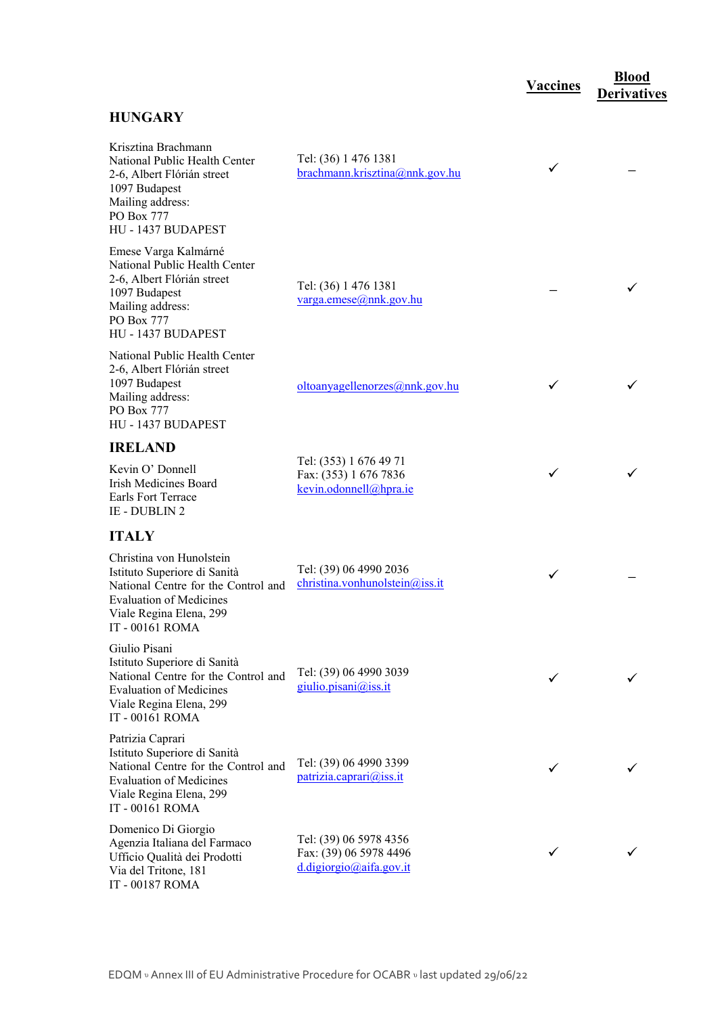## **HUNGARY**

| Krisztina Brachmann<br>National Public Health Center<br>2-6, Albert Flórián street<br>1097 Budapest<br>Mailing address:<br>PO Box 777<br>HU - 1437 BUDAPEST                     | Tel: (36) 1 476 1381<br>brachmann.krisztina@nnk.gov.hu                      | ✓ |  |
|---------------------------------------------------------------------------------------------------------------------------------------------------------------------------------|-----------------------------------------------------------------------------|---|--|
| Emese Varga Kalmárné<br>National Public Health Center<br>2-6, Albert Flórián street<br>1097 Budapest<br>Mailing address:<br>PO Box 777<br>HU - 1437 BUDAPEST                    | Tel: (36) 1 476 1381<br>$varga.$ emese@nnk.gov.hu                           |   |  |
| National Public Health Center<br>2-6, Albert Flórián street<br>1097 Budapest<br>Mailing address:<br>PO Box 777<br>HU - 1437 BUDAPEST                                            | oltoanyagellenorzes@nnk.gov.hu                                              | ✓ |  |
| <b>IRELAND</b>                                                                                                                                                                  |                                                                             |   |  |
| Kevin O' Donnell<br>Irish Medicines Board<br>Earls Fort Terrace<br>IE - DUBLIN 2                                                                                                | Tel: (353) 1 676 49 71<br>Fax: (353) 1 676 7836<br>kevin.odonnell@hpra.ie   | ✓ |  |
| <b>ITALY</b>                                                                                                                                                                    |                                                                             |   |  |
| Christina von Hunolstein<br>Istituto Superiore di Sanità<br>National Centre for the Control and<br><b>Evaluation of Medicines</b><br>Viale Regina Elena, 299<br>IT - 00161 ROMA | Tel: (39) 06 4990 2036<br>christina.vonhunolstein@iss.it                    | ✓ |  |
| Giulio Pisani<br>Istituto Superiore di Sanità<br>National Centre for the Control and<br><b>Evaluation of Medicines</b><br>Viale Regina Elena, 299<br>IT - 00161 ROMA            | Tel: (39) 06 4990 3039<br>giulio.pisani@iss.it                              |   |  |
| Patrizia Caprari<br>Istituto Superiore di Sanità<br>National Centre for the Control and<br><b>Evaluation of Medicines</b><br>Viale Regina Elena, 299<br>IT - 00161 ROMA         | Tel: (39) 06 4990 3399<br>patrizia.caprari@iss.it                           | ✓ |  |
| Domenico Di Giorgio<br>Agenzia Italiana del Farmaco<br>Ufficio Qualità dei Prodotti<br>Via del Tritone, 181<br>IT - 00187 ROMA                                                  | Tel: (39) 06 5978 4356<br>Fax: (39) 06 5978 4496<br>d.digiorgio@aifa.gov.it |   |  |

**Vaccines Blood** 

**Derivatives**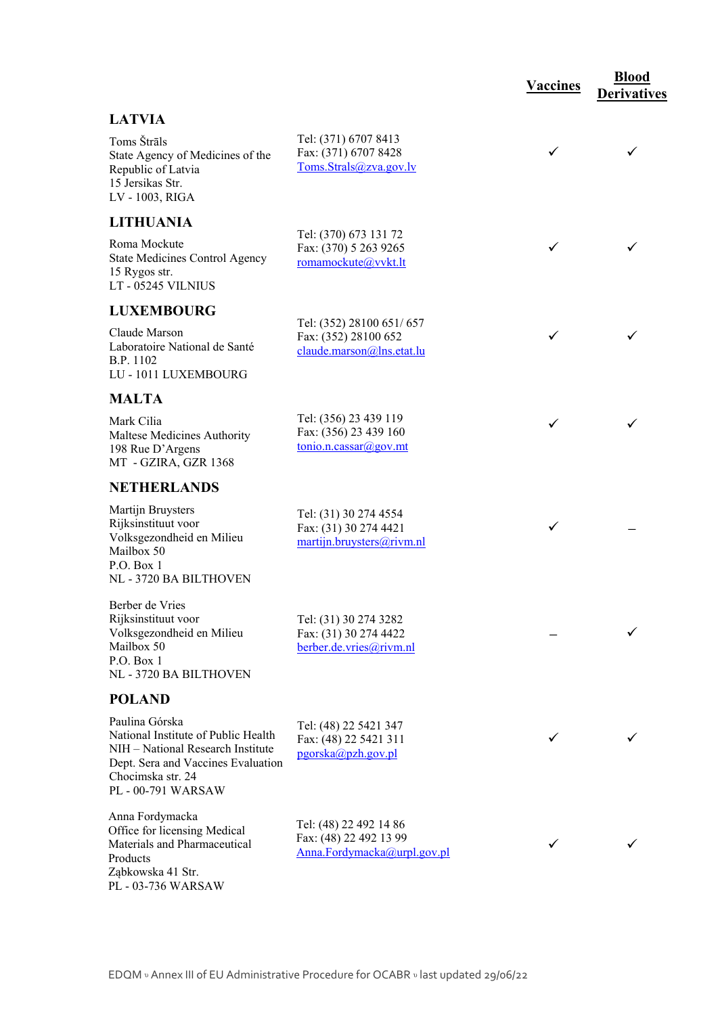|                                                                                                                                                                             |                                                                                           | <b>Vaccines</b> | <b>Blood</b><br><b>Derivatives</b> |
|-----------------------------------------------------------------------------------------------------------------------------------------------------------------------------|-------------------------------------------------------------------------------------------|-----------------|------------------------------------|
| <b>LATVIA</b>                                                                                                                                                               |                                                                                           |                 |                                    |
| Toms Štrāls<br>State Agency of Medicines of the<br>Republic of Latvia<br>15 Jersikas Str.<br>LV - 1003, RIGA                                                                | Tel: (371) 6707 8413<br>Fax: (371) 6707 8428<br>Toms.Strals@zva.gov.lv                    | ✓               | ✓                                  |
| <b>LITHUANIA</b>                                                                                                                                                            |                                                                                           |                 |                                    |
| Roma Mockute<br><b>State Medicines Control Agency</b><br>15 Rygos str.<br>LT - 05245 VILNIUS                                                                                | Tel: (370) 673 131 72<br>Fax: (370) 5 263 9265<br>romamockute@vvkt.lt                     | ✓               |                                    |
| <b>LUXEMBOURG</b>                                                                                                                                                           |                                                                                           |                 |                                    |
| Claude Marson<br>Laboratoire National de Santé<br>B.P. 1102<br>LU - 1011 LUXEMBOURG                                                                                         | Tel: (352) 28100 651/657<br>Fax: (352) 28100 652<br>claude.marson@lns.etat.lu             | ✓               | ✓                                  |
| <b>MALTA</b>                                                                                                                                                                |                                                                                           |                 |                                    |
| Mark Cilia<br>Maltese Medicines Authority<br>198 Rue D'Argens<br>MT - GZIRA, GZR 1368                                                                                       | Tel: (356) 23 439 119<br>Fax: (356) 23 439 160<br>$\frac{\text{tonio.n.cassar}(a)$ gov.mt | ✓               |                                    |
| <b>NETHERLANDS</b>                                                                                                                                                          |                                                                                           |                 |                                    |
| Martijn Bruysters<br>Rijksinstituut voor<br>Volksgezondheid en Milieu<br>Mailbox 50<br>P.O. Box 1<br>NL - 3720 BA BILTHOVEN                                                 | Tel: (31) 30 274 4554<br>Fax: (31) 30 274 4421<br>martijn.bruysters@rivm.nl               | ✓               |                                    |
| Berber de Vries<br>Rijksinstituut voor<br>Volksgezondheid en Milieu<br>Mailbox 50<br>P.O. Box 1<br>NL - 3720 BA BILTHOVEN                                                   | Tel: (31) 30 274 3282<br>Fax: (31) 30 274 4422<br>berber.de.vries@rivm.nl                 |                 |                                    |
| <b>POLAND</b>                                                                                                                                                               |                                                                                           |                 |                                    |
| Paulina Górska<br>National Institute of Public Health<br>NIH - National Research Institute<br>Dept. Sera and Vaccines Evaluation<br>Chocimska str. 24<br>PL - 00-791 WARSAW | Tel: (48) 22 5421 347<br>Fax: (48) 22 5421 311<br>pgorska@pzh.gov.pl                      |                 |                                    |
| Anna Fordymacka<br>Office for licensing Medical<br>Materials and Pharmaceutical<br>Products<br>Ząbkowska 41 Str.<br>PL - 03-736 WARSAW                                      | Tel: (48) 22 492 14 86<br>Fax: (48) 22 492 13 99<br>Anna.Fordymacka@urpl.gov.pl           |                 |                                    |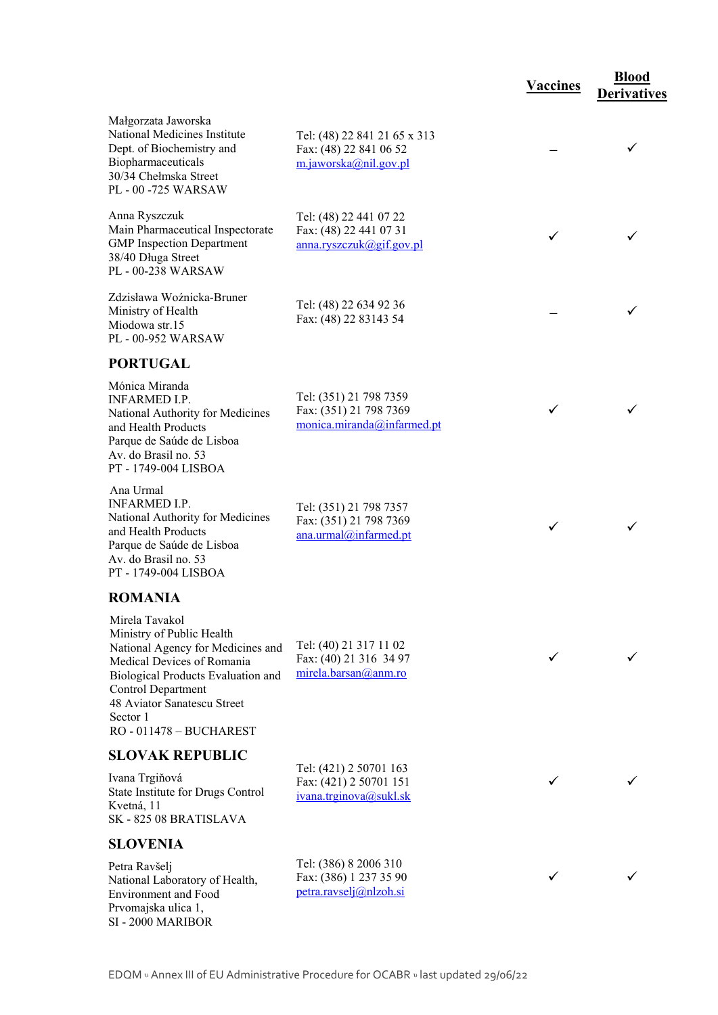|                                                                                                                                                                                                                              |                                                                                 | <b>Vaccines</b> | <b>Blood</b><br><b>Derivatives</b> |
|------------------------------------------------------------------------------------------------------------------------------------------------------------------------------------------------------------------------------|---------------------------------------------------------------------------------|-----------------|------------------------------------|
| Małgorzata Jaworska<br>National Medicines Institute<br>Dept. of Biochemistry and<br>Biopharmaceuticals<br>30/34 Chełmska Street<br>PL - 00 -725 WARSAW                                                                       | Tel: (48) 22 841 21 65 x 313<br>Fax: (48) 22 841 06 52<br>m.jaworska@nil.gov.pl |                 | ✓                                  |
| Anna Ryszczuk<br>Main Pharmaceutical Inspectorate<br><b>GMP</b> Inspection Department<br>38/40 Długa Street<br>PL - 00-238 WARSAW                                                                                            | Tel: (48) 22 441 07 22<br>Fax: (48) 22 441 07 31<br>anna.ryszczuk@gif.gov.pl    | ✓               |                                    |
| Zdzisława Woźnicka-Bruner<br>Ministry of Health<br>Miodowa str.15<br>PL - 00-952 WARSAW                                                                                                                                      | Tel: (48) 22 634 92 36<br>Fax: (48) 22 83143 54                                 |                 |                                    |
| <b>PORTUGAL</b>                                                                                                                                                                                                              |                                                                                 |                 |                                    |
| Mónica Miranda<br><b>INFARMED I.P.</b><br>National Authority for Medicines<br>and Health Products<br>Parque de Saúde de Lisboa<br>Av. do Brasil no. 53<br>PT - 1749-004 LISBOA                                               | Tel: (351) 21 798 7359<br>Fax: (351) 21 798 7369<br>monica.miranda@infarmed.pt  | ✓               |                                    |
| Ana Urmal<br><b>INFARMED I.P.</b><br>National Authority for Medicines<br>and Health Products<br>Parque de Saúde de Lisboa<br>Av. do Brasil no. 53<br>PT - 1749-004 LISBOA                                                    | Tel: (351) 21 798 7357<br>Fax: (351) 21 798 7369<br>ana.urmal@infarmed.pt       | ✓               | ✓                                  |
| <b>ROMANIA</b>                                                                                                                                                                                                               |                                                                                 |                 |                                    |
| Mirela Tavakol<br>Ministry of Public Health<br>National Agency for Medicines and<br>Medical Devices of Romania<br>Biological Products Evaluation and<br><b>Control Department</b><br>48 Aviator Sanatescu Street<br>Sector 1 | Tel: (40) 21 317 11 02<br>Fax: (40) 21 316 34 97<br>mirela.barsan@anm.ro        |                 |                                    |
| RO-011478 - BUCHAREST                                                                                                                                                                                                        |                                                                                 |                 |                                    |
| <b>SLOVAK REPUBLIC</b>                                                                                                                                                                                                       | Tel: (421) 2 50701 163                                                          |                 |                                    |
| Ivana Trgiňová<br>State Institute for Drugs Control<br>Kvetná, 11<br>SK-82508 BRATISLAVA                                                                                                                                     | Fax: (421) 2 50701 151<br>ivana.trginova@sukl.sk                                |                 |                                    |
| <b>SLOVENIA</b>                                                                                                                                                                                                              |                                                                                 |                 |                                    |
| Petra Ravšelj<br>National Laboratory of Health,<br><b>Environment</b> and Food<br>Prvomajska ulica 1,<br>SI - 2000 MARIBOR                                                                                                   | Tel: (386) 8 2006 310<br>Fax: (386) 1 237 35 90<br>petra.ravselj@nlzoh.si       |                 |                                    |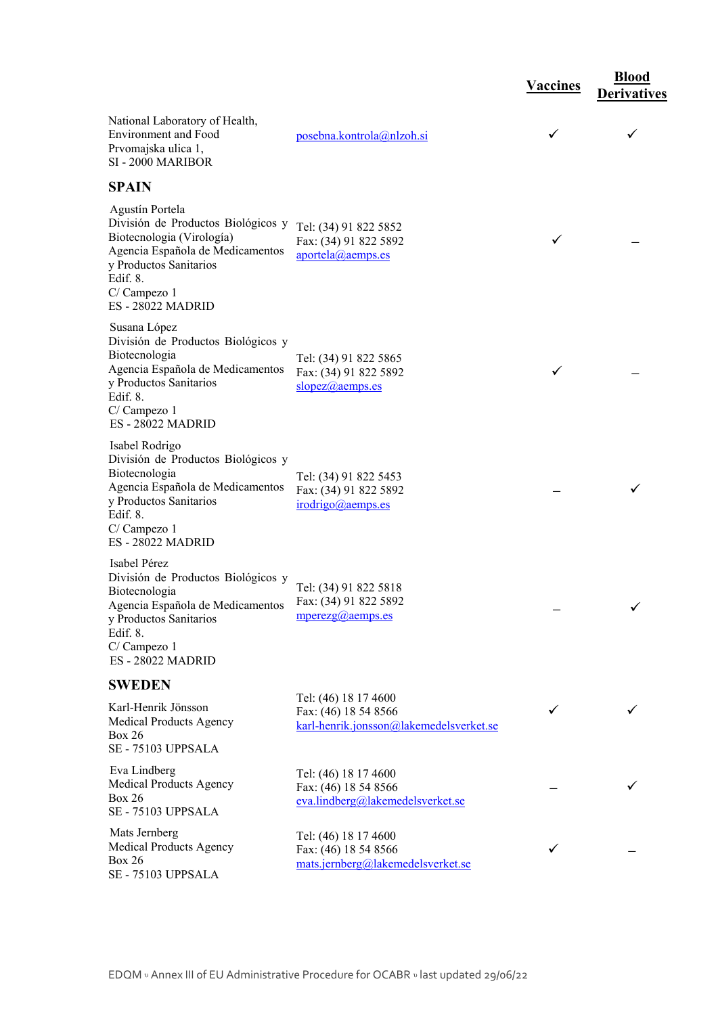|                                                                                                                                                                                                |                                                                                         | <b>Vaccines</b> | <b>Blood</b><br><b>Derivatives</b> |
|------------------------------------------------------------------------------------------------------------------------------------------------------------------------------------------------|-----------------------------------------------------------------------------------------|-----------------|------------------------------------|
| National Laboratory of Health,<br><b>Environment</b> and Food<br>Prvomajska ulica 1,<br>SI - 2000 MARIBOR                                                                                      | posebna.kontrola@nlzoh.si                                                               | ✓               | $\checkmark$                       |
| <b>SPAIN</b>                                                                                                                                                                                   |                                                                                         |                 |                                    |
| Agustín Portela<br>División de Productos Biológicos y<br>Biotecnologia (Virología)<br>Agencia Española de Medicamentos<br>y Productos Sanitarios<br>Edif. 8.<br>C/Campezo 1<br>ES-28022 MADRID | Tel: (34) 91 822 5852<br>Fax: (34) 91 822 5892<br>aportela@aemps.es                     | ✓               |                                    |
| Susana López<br>División de Productos Biológicos y<br>Biotecnologia<br>Agencia Española de Medicamentos<br>y Productos Sanitarios<br>Edif. 8.<br>C/Campezo 1<br>ES-28022 MADRID                | Tel: (34) 91 822 5865<br>Fax: (34) 91 822 5892<br>slopez@aemps.es                       | ✓               |                                    |
| Isabel Rodrigo<br>División de Productos Biológicos y<br>Biotecnologia<br>Agencia Española de Medicamentos<br>y Productos Sanitarios<br>Edif. 8.<br>C/Campezo 1<br><b>ES-28022 MADRID</b>       | Tel: (34) 91 822 5453<br>Fax: (34) 91 822 5892<br>irodrigo@aemps.es                     |                 |                                    |
| Isabel Pérez<br>División de Productos Biológicos y<br>Biotecnologia<br>Agencia Española de Medicamentos<br>y Productos Sanitarios<br>Edif. 8.<br>C/Campezo 1<br><b>ES-28022 MADRID</b>         | Tel: (34) 91 822 5818<br>Fax: (34) 91 822 5892<br>$mperezg(a)$ <sub>aemps.es</sub>      |                 |                                    |
| <b>SWEDEN</b>                                                                                                                                                                                  |                                                                                         |                 |                                    |
| Karl-Henrik Jönsson<br><b>Medical Products Agency</b><br><b>Box 26</b><br>SE - 75103 UPPSALA                                                                                                   | Tel: (46) 18 17 4600<br>Fax: (46) 18 54 8566<br>karl-henrik.jonsson@lakemedelsverket.se | ✓               |                                    |
| Eva Lindberg<br>Medical Products Agency<br><b>Box 26</b><br>SE - 75103 UPPSALA                                                                                                                 | Tel: (46) 18 17 4600<br>Fax: (46) 18 54 8566<br>eva.lindberg@lakemedelsverket.se        |                 |                                    |
| Mats Jernberg<br>Medical Products Agency<br><b>Box 26</b><br>SE - 75103 UPPSALA                                                                                                                | Tel: (46) 18 17 4600<br>Fax: (46) 18 54 8566<br>mats.jernberg@lakemedelsverket.se       | ✓               |                                    |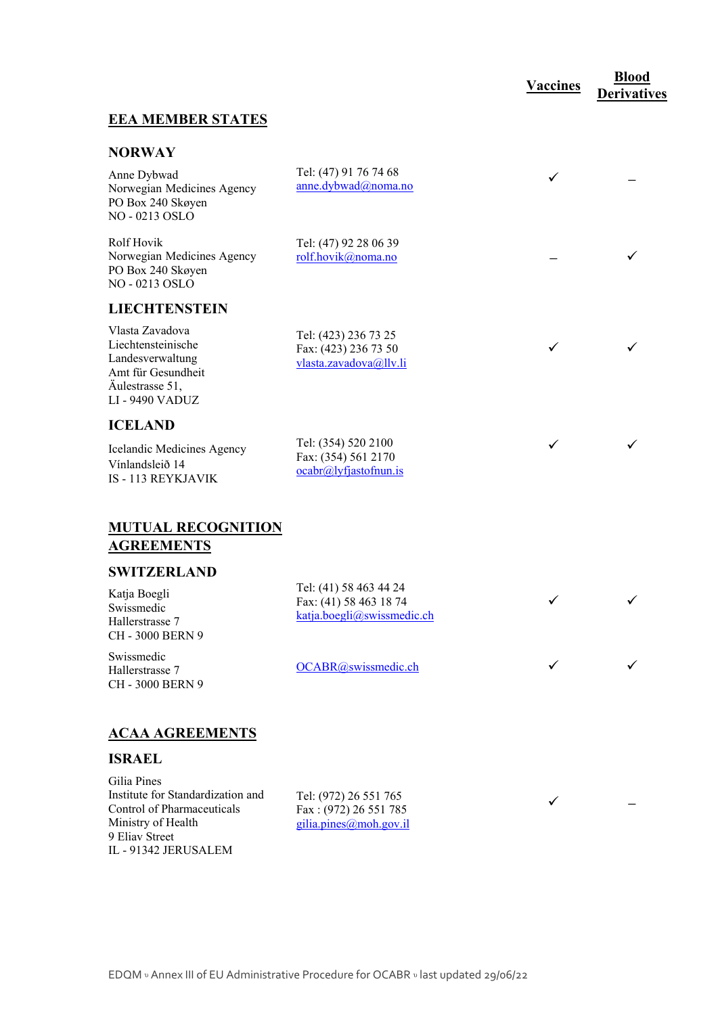## **Vaccines <u><b>Blood**</u>

 $\checkmark$ 

**←** 

**Derivatives** 

#### **EEA MEMBER STATES**

#### **NORWAY**

| Anne Dybwad<br>Norwegian Medicines Agency<br>PO Box 240 Skøyen<br>NO - 0213 OSLO                                           | Tel: (47) 91 76 74 68<br>anne.dybwad@noma.no                             | ✓ |  |
|----------------------------------------------------------------------------------------------------------------------------|--------------------------------------------------------------------------|---|--|
| Rolf Hovik<br>Norwegian Medicines Agency<br>PO Box 240 Skøyen<br>NO - 0213 OSLO                                            | Tel: (47) 92 28 06 39<br>rolf.hovik@noma.no                              |   |  |
| <b>LIECHTENSTEIN</b>                                                                                                       |                                                                          |   |  |
| Vlasta Zavadova<br>Liechtensteinische<br>Landesverwaltung<br>Amt für Gesundheit<br>Äulestrasse 51,<br><b>LI-9490 VADUZ</b> | Tel: (423) 236 73 25<br>Fax: (423) 236 73 50<br>vlasta.zavadova@llv.li   | ✓ |  |
| <b>ICELAND</b>                                                                                                             |                                                                          |   |  |
| Icelandic Medicines Agency<br>Vínlandsleið 14<br><b>IS - 113 REYKJAVIK</b>                                                 | Tel: (354) 520 2100<br>Fax: (354) 561 2170<br>$ocabr@] y f$ jastofnun.is | ✓ |  |
| <b>MUTUAL RECOGNITION</b><br><b>AGREEMENTS</b>                                                                             |                                                                          |   |  |
| <b>SWITZERLAND</b>                                                                                                         | Tel: (41) 58 463 44 24                                                   |   |  |
| $V_{\text{atio}}$ $D_{\text{each}}$                                                                                        |                                                                          |   |  |

Katja Boegli Swissmedic Hallerstrasse 7 CH - 3000 BERN 9

Swissmedic Hallerstrasse 7 CH - 3000 BERN 9

Fax: (41) 58 463 18 74 katja.boegli@swissmedic.ch

 $OCABR$  (*a*) swissmedic.ch

## **ACAA AGREEMENTS**

#### **ISRAEL**

Gilia Pines Institute for Standardization and Control of Pharmaceuticals Ministry of Health 9 Eliav Street IL - 91342 JERUSALEM

Tel: (972) 26 551 765 Fax : (972) 26 551 785 gilia.pines@moh.gov.il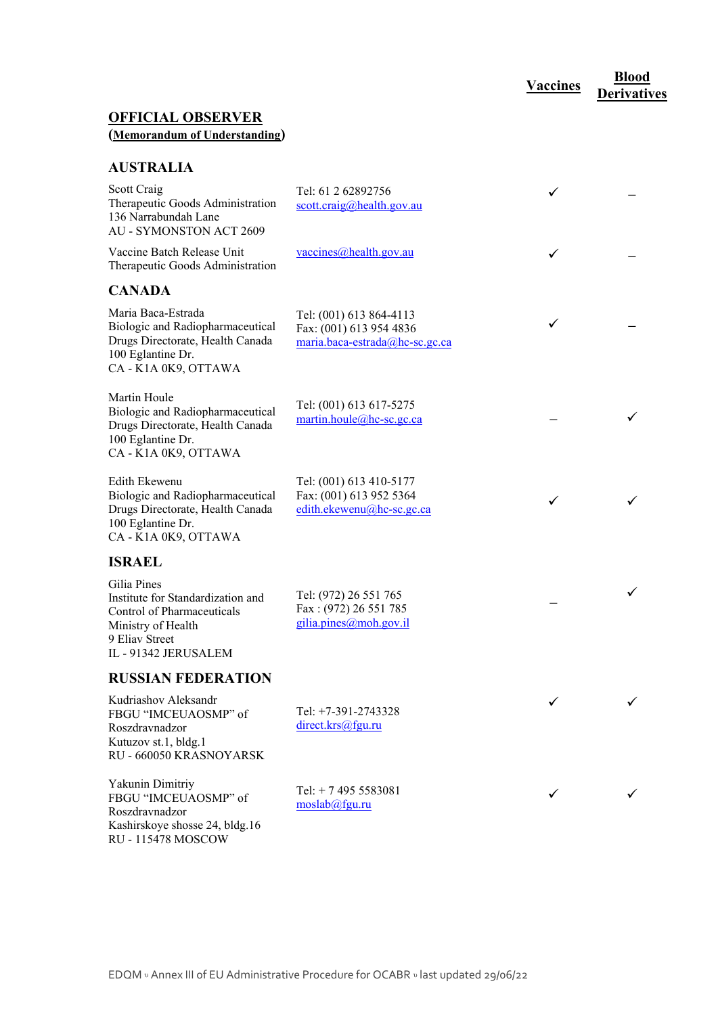# **Vaccines Blood**

**Derivatives** 

## **OFFICIAL OBSERVER (Memorandum of Understanding)**

#### **AUSTRALIA**

| Scott Craig<br>Therapeutic Goods Administration<br>136 Narrabundah Lane<br><b>AU - SYMONSTON ACT 2609</b>                                      | Tel: 61 2 62892756<br>scott.craig@health.gov.au                                      | ✓ |  |
|------------------------------------------------------------------------------------------------------------------------------------------------|--------------------------------------------------------------------------------------|---|--|
| Vaccine Batch Release Unit<br>Therapeutic Goods Administration                                                                                 | vaccines@health.gov.au                                                               | ✓ |  |
| <b>CANADA</b>                                                                                                                                  |                                                                                      |   |  |
| Maria Baca-Estrada<br>Biologic and Radiopharmaceutical<br>Drugs Directorate, Health Canada<br>100 Eglantine Dr.<br>CA - K1A 0K9, OTTAWA        | Tel: (001) 613 864-4113<br>Fax: (001) 613 954 4836<br>maria.baca-estrada@hc-sc.gc.ca | ✓ |  |
| Martin Houle<br>Biologic and Radiopharmaceutical<br>Drugs Directorate, Health Canada<br>100 Eglantine Dr.<br>CA - K1A 0K9, OTTAWA              | Tel: (001) 613 617-5275<br>martin.houle@hc-sc.gc.ca                                  |   |  |
| Edith Ekewenu<br>Biologic and Radiopharmaceutical<br>Drugs Directorate, Health Canada<br>100 Eglantine Dr.<br>CA - K1A 0K9, OTTAWA             | Tel: (001) 613 410-5177<br>Fax: (001) 613 952 5364<br>edith.ekewenu@hc-sc.gc.ca      | ✓ |  |
| <b>ISRAEL</b>                                                                                                                                  |                                                                                      |   |  |
| Gilia Pines<br>Institute for Standardization and<br>Control of Pharmaceuticals<br>Ministry of Health<br>9 Eliav Street<br>IL - 91342 JERUSALEM | Tel: (972) 26 551 765<br>Fax: (972) 26 551 785<br>gilia.pines@moh.gov.il             |   |  |
| <b>RUSSIAN FEDERATION</b>                                                                                                                      |                                                                                      |   |  |
| Kudriashov Aleksandr<br>FBGU "IMCEUAOSMP" of<br>Roszdravnadzor<br>Kutuzov st.1, bldg.1<br>RU - 660050 KRASNOYARSK                              | Tel: +7-391-2743328<br>direct.krs@fgu.ru                                             |   |  |
| Yakunin Dimitriy<br>FBGU "IMCEUAOSMP" of<br>Roszdravnadzor<br>Kashirskoye shosse 24, bldg.16<br><b>RU-115478 MOSCOW</b>                        | Tel: $+ 74955583081$<br>moslab@fgu.ru                                                |   |  |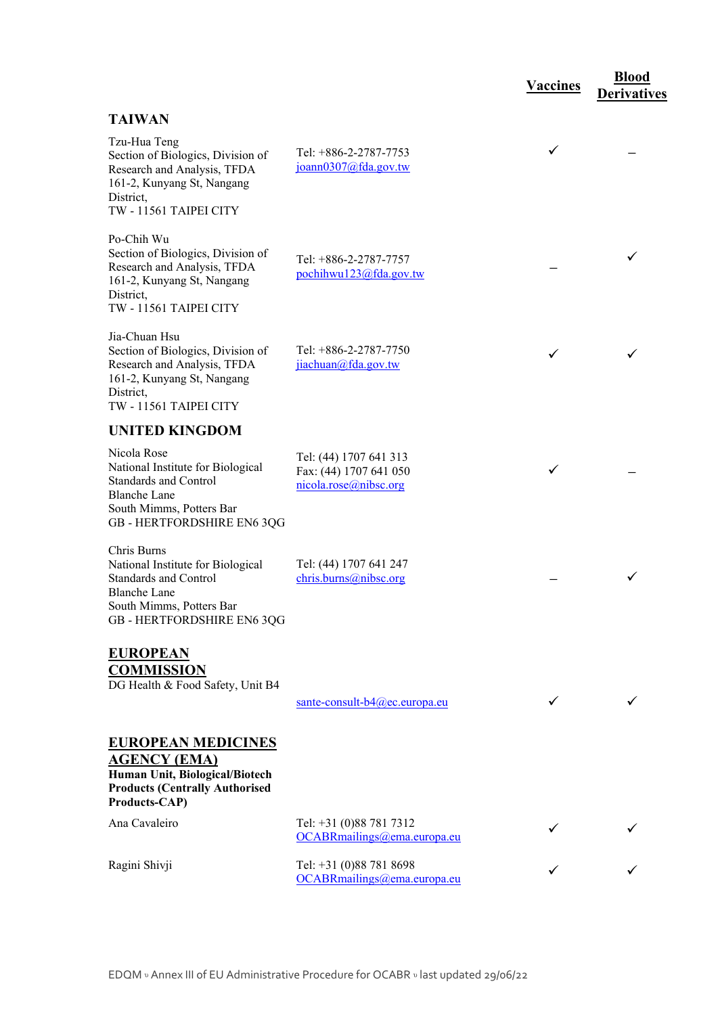|                                                                                                                                                                   |                                                                           | <b>Vaccines</b> | <b>Blood</b><br><b>Derivatives</b> |
|-------------------------------------------------------------------------------------------------------------------------------------------------------------------|---------------------------------------------------------------------------|-----------------|------------------------------------|
| <b>TAIWAN</b>                                                                                                                                                     |                                                                           |                 |                                    |
| Tzu-Hua Teng<br>Section of Biologics, Division of<br>Research and Analysis, TFDA<br>161-2, Kunyang St, Nangang<br>District,<br>TW - 11561 TAIPEI CITY             | Tel: +886-2-2787-7753<br>joann0307@fda.gov.tw                             | ✓               |                                    |
| Po-Chih Wu<br>Section of Biologics, Division of<br>Research and Analysis, TFDA<br>161-2, Kunyang St, Nangang<br>District,<br>TW - 11561 TAIPEI CITY               | Tel: +886-2-2787-7757<br>pochihwu123@fda.gov.tw                           |                 |                                    |
| Jia-Chuan Hsu<br>Section of Biologics, Division of<br>Research and Analysis, TFDA<br>161-2, Kunyang St, Nangang<br>District,<br>TW - 11561 TAIPEI CITY            | Tel: +886-2-2787-7750<br>jiachuan@fda.gov.tw                              |                 |                                    |
| <b>UNITED KINGDOM</b>                                                                                                                                             |                                                                           |                 |                                    |
| Nicola Rose<br>National Institute for Biological<br><b>Standards and Control</b><br><b>Blanche Lane</b><br>South Mimms, Potters Bar<br>GB - HERTFORDSHIRE EN6 3QG | Tel: (44) 1707 641 313<br>Fax: (44) 1707 641 050<br>nicola.rose@nibsc.org |                 |                                    |
| Chris Burns<br>National Institute for Biological<br><b>Standards and Control</b><br><b>Blanche Lane</b><br>South Mimms, Potters Bar<br>GB - HERTFORDSHIRE EN6 3QG | Tel: (44) 1707 641 247<br>chris.burns@nibsc.org                           |                 | ✓                                  |
| <b>EUROPEAN</b><br><b>COMMISSION</b><br>DG Health & Food Safety, Unit B4                                                                                          | sante-consult- $b4$ ( $a$ ) ec. europa. eu                                |                 |                                    |
| <b>EUROPEAN MEDICINES</b><br><b>AGENCY (EMA)</b><br>Human Unit, Biological/Biotech<br><b>Products (Centrally Authorised</b><br>Products-CAP)                      |                                                                           |                 |                                    |
| Ana Cavaleiro                                                                                                                                                     | Tel: +31 (0)88 781 7312<br>OCABRmailings@ema.europa.eu                    |                 |                                    |
| Ragini Shivji                                                                                                                                                     | Tel: +31 (0)88 781 8698<br>OCABRmailings@ema.europa.eu                    |                 |                                    |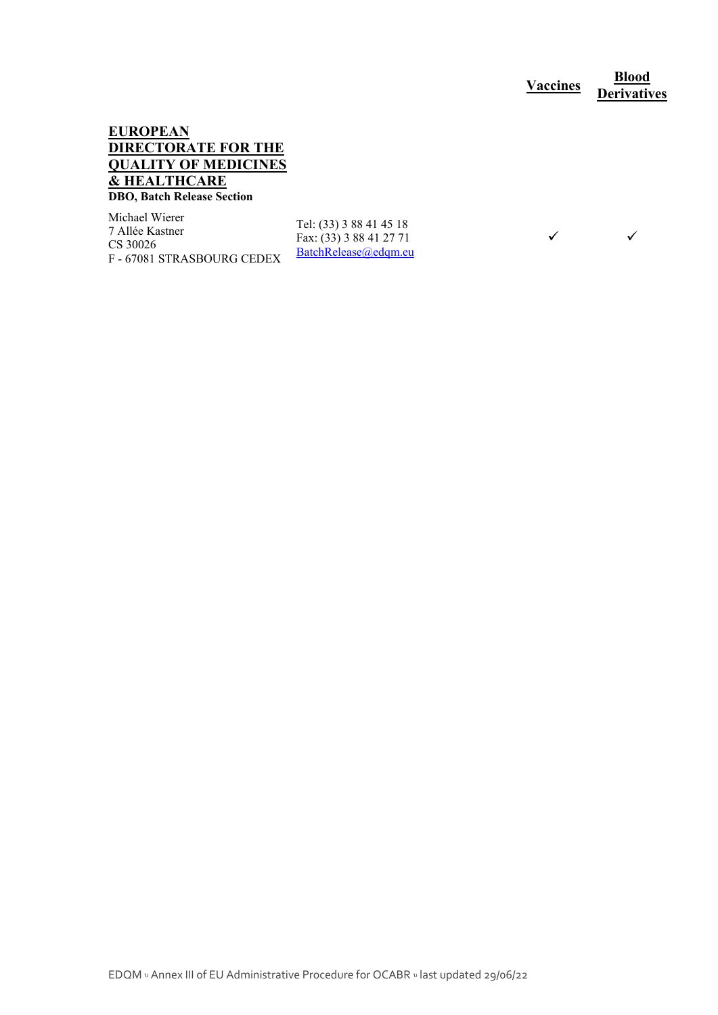**Vaccines <u><b>Blood**</u> **Derivatives** 

 $\checkmark$   $\checkmark$ 

#### **EUROPEAN DIRECTORATE FOR THE QUALITY OF MEDICINES & HEALTHCARE DBO, Batch Release Section**

Michael Wierer 7 Allée Kastner CS 30026 F - 67081 STRASBOURG CEDEX

Tel: (33) 3 88 41 45 18 Fax: (33) 3 88 41 27 71 BatchRelease@edqm.eu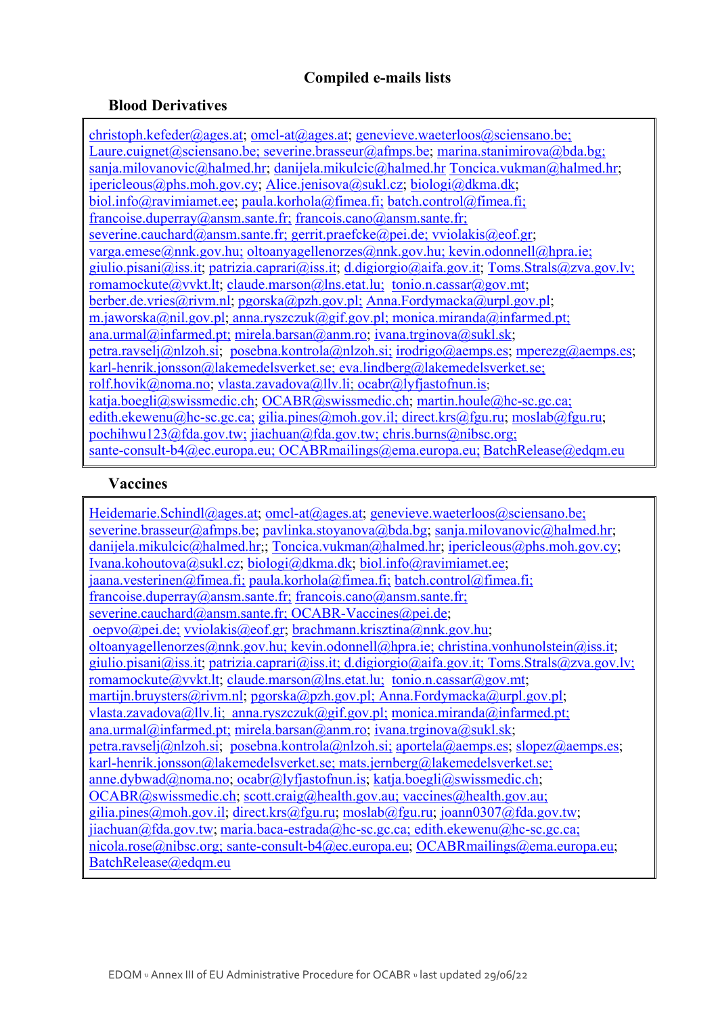## **Compiled e-mails lists**

## **Blood Derivatives**

christoph.kefeder@ages.at; omcl-at@ages.at; genevieve.waeterloos@sciensano.be; Laure.cuignet@sciensano.be; severine.brasseur@afmps.be; marina.stanimirova@bda.bg; sanja.milovanovic@halmed.hr; danijela.mikulcic@halmed.hr Toncica.vukman@halmed.hr; ipericleous@phs.moh.gov.cy; Alice.jenisova@sukl.cz; biologi@dkma.dk; biol.info@ravimiamet.ee; paula.korhola@fimea.fi; batch.control@fimea.fi; francoise.duperray@ansm.sante.fr; francois.cano@ansm.sante.fr; severine.cauchard@ansm.sante.fr; gerrit.praefcke@pei.de; vviolakis@eof.gr; varga.emese@nnk.gov.hu; oltoanyagellenorzes@nnk.gov.hu; kevin.odonnell@hpra.ie; giulio.pisani@iss.it; patrizia.caprari@iss.it; d.digiorgio@aifa.gov.it; Toms.Strals@zva.gov.lv; romamockute@vvkt.lt; claude.marson@lns.etat.lu; tonio.n.cassar@gov.mt; berber.de.vries@rivm.nl; pgorska@pzh.gov.pl; Anna.Fordymacka@urpl.gov.pl; m.jaworska@nil.gov.pl; anna.ryszczuk@gif.gov.pl; monica.miranda@infarmed.pt; ana.urmal@infarmed.pt; mirela.barsan@anm.ro; ivana.trginova@sukl.sk; petra.ravselj@nlzoh.si; posebna.kontrola@nlzoh.si; irodrigo@aemps.es; mperezg@aemps.es; karl-henrik.jonsson@lakemedelsverket.se; eva.lindberg@lakemedelsverket.se; rolf.hovik@noma.no; vlasta.zavadova@llv.li; ocabr@lyfjastofnun.is; katja.boegli@swissmedic.ch; OCABR@swissmedic.ch; martin.houle@hc-sc.gc.ca; edith.ekewenu@hc-sc.gc.ca; gilia.pines@moh.gov.il; direct.krs@fgu.ru; moslab@fgu.ru; pochihwu123@fda.gov.tw; jiachuan@fda.gov.tw; chris.burns@nibsc.org; sante-consult-b4@ec.europa.eu; OCABRmailings@ema.europa.eu; BatchRelease@edqm.eu

#### **Vaccines**

Heidemarie.Schindl@ages.at; omcl-at@ages.at; genevieve.waeterloos@sciensano.be; severine.brasseur@afmps.be; pavlinka.stoyanova@bda.bg; sanja.milovanovic@halmed.hr; danijela.mikulcic@halmed.hr;; Toncica.vukman@halmed.hr; ipericleous@phs.moh.gov.cy; Ivana.kohoutova@sukl.cz; biologi@dkma.dk; biol.info@ravimiamet.ee;  $jaana. vectorinen@fimea.fi; paula.korhola@fimea.fi; batch.control@fimea.fi;$ francoise.duperray@ansm.sante.fr; francois.cano@ansm.sante.fr; severine.cauchard@ansm.sante.fr; OCABR-Vaccines@pei.de; oepvo@pei.de; vviolakis@eof.gr; brachmann.krisztina@nnk.gov.hu; oltoanyagellenorzes@nnk.gov.hu; kevin.odonnell@hpra.ie; christina.vonhunolstein@iss.it; giulio.pisani@iss.it; patrizia.caprari@iss.it; d.digiorgio@aifa.gov.it; Toms.Strals@zva.gov.lv; romamockute@vvkt.lt; claude.marson@lns.etat.lu; tonio.n.cassar@gov.mt; martijn.bruysters@rivm.nl; pgorska@pzh.gov.pl; Anna.Fordymacka@urpl.gov.pl; vlasta.zavadova@llv.li; anna.ryszczuk@gif.gov.pl; monica.miranda@infarmed.pt; ana.urmal@infarmed.pt; mirela.barsan@anm.ro; ivana.trginova@sukl.sk; petra.ravselj@nlzoh.si; posebna.kontrola@nlzoh.si; aportela@aemps.es; slopez@aemps.es; karl-henrik.jonsson@lakemedelsverket.se; mats.jernberg@lakemedelsverket.se; anne.dybwad@noma.no; ocabr@lyfjastofnun.is; katja.boegli@swissmedic.ch; OCABR@swissmedic.ch; scott.craig@health.gov.au; vaccines@health.gov.au; gilia.pines@moh.gov.il; direct.krs@fgu.ru; moslab@fgu.ru; joann0307@fda.gov.tw; jiachuan@fda.gov.tw; maria.baca-estrada@hc-sc.gc.ca; edith.ekewenu@hc-sc.gc.ca; nicola.rose@nibsc.org; sante-consult-b4@ec.europa.eu; OCABRmailings@ema.europa.eu; BatchRelease@edqm.eu